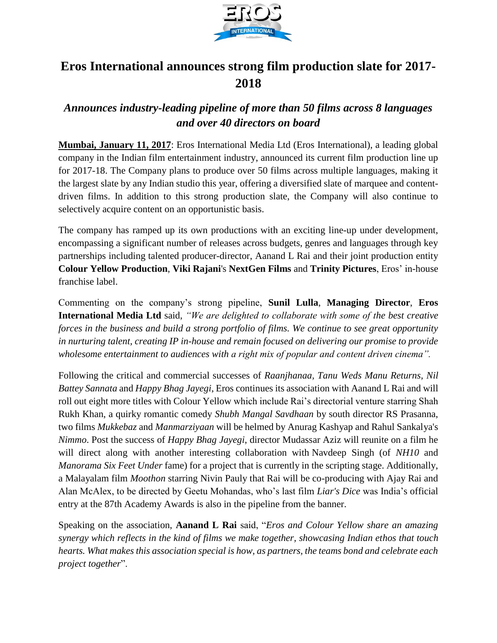

## **Eros International announces strong film production slate for 2017- 2018**

## *Announces industry-leading pipeline of more than 50 films across 8 languages and over 40 directors on board*

**Mumbai, January 11, 2017**: Eros International Media Ltd (Eros International), a leading global company in the Indian film entertainment industry, announced its current film production line up for 2017-18. The Company plans to produce over 50 films across multiple languages, making it the largest slate by any Indian studio this year, offering a diversified slate of marquee and contentdriven films. In addition to this strong production slate, the Company will also continue to selectively acquire content on an opportunistic basis.

The company has ramped up its own productions with an exciting line-up under development, encompassing a significant number of releases across budgets, genres and languages through key partnerships including talented producer-director, Aanand L Rai and their joint production entity **Colour Yellow Production**, **Viki Rajani**'s **NextGen Films** and **Trinity Pictures**, Eros' in-house franchise label.

Commenting on the company's strong pipeline, **Sunil Lulla**, **Managing Director**, **Eros International Media Ltd** said, *"We are delighted to collaborate with some of the best creative forces in the business and build a strong portfolio of films. We continue to see great opportunity in nurturing talent, creating IP in-house and remain focused on delivering our promise to provide wholesome entertainment to audiences with a right mix of popular and content driven cinema".*

Following the critical and commercial successes of *Raanjhanaa, Tanu Weds Manu Returns*, *Nil Battey Sannata* and *Happy Bhag Jayegi*, Eros continues its association with Aanand L Rai and will roll out eight more titles with Colour Yellow which include Rai's directorial venture starring Shah Rukh Khan, a quirky romantic comedy *Shubh Mangal Savdhaan* by south director RS Prasanna, two films *Mukkebaz* and *Manmarziyaan* will be helmed by Anurag Kashyap and Rahul Sankalya's *Nimmo*. Post the success of *Happy Bhag Jayegi*, director Mudassar Aziz will reunite on a film he will direct along with another interesting collaboration with Navdeep Singh (of *NH10* and *Manorama Six Feet Under* fame) for a project that is currently in the scripting stage. Additionally, a Malayalam film *Moothon* starring Nivin Pauly that Rai will be co-producing with Ajay Rai and Alan McAlex, to be directed by Geetu Mohandas, who's last film *Liar's Dice* was India's official entry at the 87th Academy Awards is also in the pipeline from the banner.

Speaking on the association, **Aanand L Rai** said, "*Eros and Colour Yellow share an amazing synergy which reflects in the kind of films we make together, showcasing Indian ethos that touch hearts. What makes this association special is how, as partners, the teams bond and celebrate each project together*".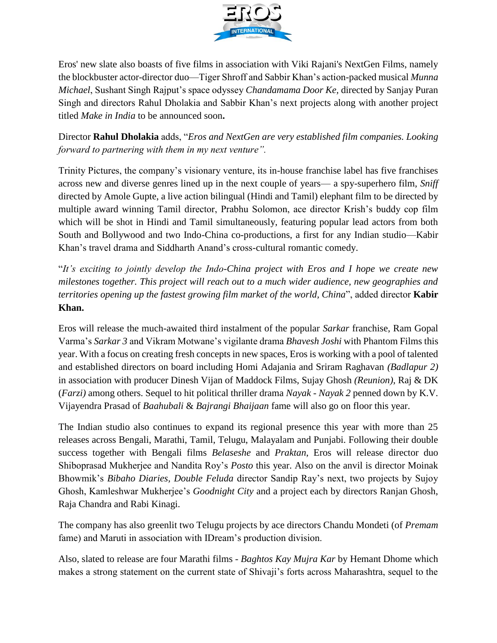

Eros' new slate also boasts of five films in association with Viki Rajani's NextGen Films, namely the blockbuster actor-director duo—Tiger Shroff and Sabbir Khan's action-packed musical *Munna Michael*, Sushant Singh Rajput's space odyssey *Chandamama Door Ke,* directed by Sanjay Puran Singh and directors Rahul Dholakia and Sabbir Khan's next projects along with another project titled *Make in India* to be announced soon**.**

Director **Rahul Dholakia** adds, "*Eros and NextGen are very established film companies. Looking forward to partnering with them in my next venture".*

Trinity Pictures, the company's visionary venture, its in-house franchise label has five franchises across new and diverse genres lined up in the next couple of years— a spy-superhero film, *Sniff* directed by Amole Gupte, a live action bilingual (Hindi and Tamil) elephant film to be directed by multiple award winning Tamil director, Prabhu Solomon, ace director Krish's buddy cop film which will be shot in Hindi and Tamil simultaneously, featuring popular lead actors from both South and Bollywood and two Indo-China co-productions, a first for any Indian studio—Kabir Khan's travel drama and Siddharth Anand's cross-cultural romantic comedy.

"*It's exciting to jointly develop the Indo-China project with Eros and I hope we create new milestones together. This project will reach out to a much wider audience, new geographies and territories opening up the fastest growing film market of the world, China*", added director **Kabir Khan.**

Eros will release the much-awaited third instalment of the popular *Sarkar* franchise, Ram Gopal Varma's *Sarkar 3* and Vikram Motwane's vigilante drama *Bhavesh Joshi* with Phantom Films this year. With a focus on creating fresh concepts in new spaces, Eros is working with a pool of talented and established directors on board including Homi Adajania and Sriram Raghavan *(Badlapur 2)*  in association with producer Dinesh Vijan of Maddock Films, Sujay Ghosh *(Reunion)*, Raj & DK (*Farzi)* among others. Sequel to hit political thriller drama *Nayak* - *Nayak 2* penned down by K.V. Vijayendra Prasad of *Baahubali* & *Bajrangi Bhaijaan* fame will also go on floor this year.

The Indian studio also continues to expand its regional presence this year with more than 25 releases across Bengali, Marathi, Tamil, Telugu, Malayalam and Punjabi. Following their double success together with Bengali films *Belaseshe* and *Praktan*, Eros will release director duo Shiboprasad Mukherjee and Nandita Roy's *Posto* this year. Also on the anvil is director Moinak Bhowmik's *Bibaho Diaries, Double Feluda* director Sandip Ray's next, two projects by Sujoy Ghosh, Kamleshwar Mukherjee's *Goodnight City* and a project each by directors Ranjan Ghosh, Raja Chandra and Rabi Kinagi.

The company has also greenlit two Telugu projects by ace directors Chandu Mondeti (of *Premam*  fame) and Maruti in association with IDream's production division.

Also, slated to release are four Marathi films - *Baghtos Kay Mujra Kar* by Hemant Dhome which makes a strong statement on the current state of Shivaji's forts across Maharashtra, sequel to the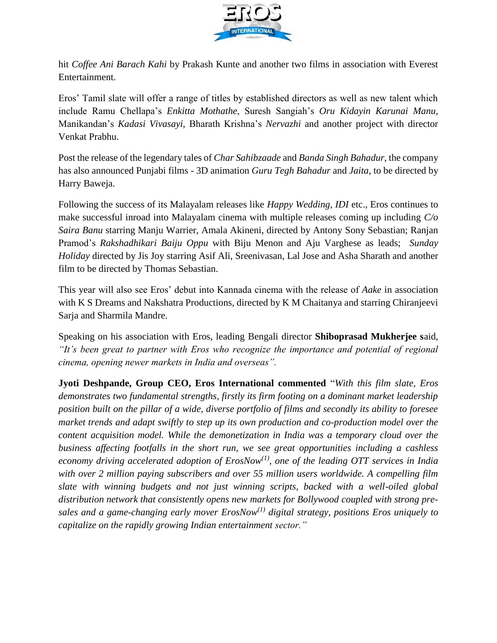

hit *Coffee Ani Barach Kahi* by Prakash Kunte and another two films in association with Everest Entertainment.

Eros' Tamil slate will offer a range of titles by established directors as well as new talent which include Ramu Chellapa's *Enkitta Mothathe*, Suresh Sangiah's *Oru Kidayin Karunai Manu,* Manikandan's *Kadasi Vivasayi,* Bharath Krishna's *Nervazhi* and another project with director Venkat Prabhu.

Post the release of the legendary tales of *Char Sahibzaade* and *Banda Singh Bahadur*, the company has also announced Punjabi films - 3D animation *Guru Tegh Bahadur* and *Jaita*, to be directed by Harry Baweja.

Following the success of its Malayalam releases like *Happy Wedding, IDI* etc., Eros continues to make successful inroad into Malayalam cinema with multiple releases coming up including *C/o Saira Banu* starring Manju Warrier, Amala Akineni, directed by Antony Sony Sebastian; Ranjan Pramod's *Rakshadhikari Baiju Oppu* with Biju Menon and Aju Varghese as leads; *Sunday Holiday* directed by Jis Joy starring Asif Ali, Sreenivasan, Lal Jose and Asha Sharath and another film to be directed by Thomas Sebastian.

This year will also see Eros' debut into Kannada cinema with the release of *Aake* in association with K S Dreams and Nakshatra Productions, directed by K M Chaitanya and starring Chiranjeevi Sarja and Sharmila Mandre.

Speaking on his association with Eros, leading Bengali director **Shiboprasad Mukherjee s**aid, *"It's been great to partner with Eros who recognize the importance and potential of regional cinema, opening newer markets in India and overseas".* 

**Jyoti Deshpande, Group CEO, Eros International commented** "*With this film slate, Eros demonstrates two fundamental strengths, firstly its firm footing on a dominant market leadership position built on the pillar of a wide, diverse portfolio of films and secondly its ability to foresee market trends and adapt swiftly to step up its own production and co-production model over the content acquisition model. While the demonetization in India was a temporary cloud over the business affecting footfalls in the short run, we see great opportunities including a cashless economy driving accelerated adoption of ErosNow(1), one of the leading OTT services in India with over 2 million paying subscribers and over 55 million users worldwide. A compelling film slate with winning budgets and not just winning scripts, backed with a well-oiled global distribution network that consistently opens new markets for Bollywood coupled with strong presales and a game-changing early mover ErosNow(1) digital strategy, positions Eros uniquely to capitalize on the rapidly growing Indian entertainment sector."*